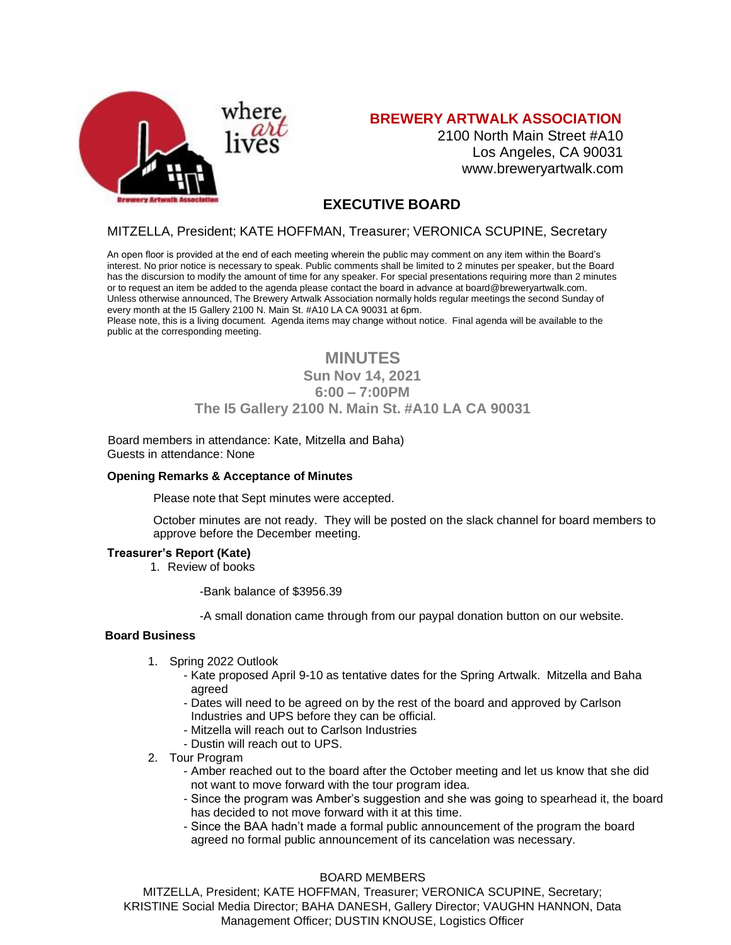

# **BREWERY ARTWALK ASSOCIATION**

2100 North Main Street #A10 Los Angeles, CA 90031 [www.breweryartwalk.com](http://www.breweryartwalk.com/)

# **EXECUTIVE BOARD**

# MITZELLA, President; KATE HOFFMAN, Treasurer; VERONICA SCUPINE, Secretary

An open floor is provided at the end of each meeting wherein the public may comment on any item within the Board's interest. No prior notice is necessary to speak. Public comments shall be limited to 2 minutes per speaker, but the Board has the discursion to modify the amount of time for any speaker. For special presentations requiring more than 2 minutes or to request an item be added to the agenda please contact the board in advance at [board@breweryartwalk.com.](mailto:board@breweryartwalk.com) Unless otherwise announced, The Brewery Artwalk Association normally holds regular meetings the second Sunday of every month at the I5 Gallery 2100 N. Main St. #A10 LA CA 90031 at 6pm.

Please note, this is a living document. Agenda items may change without notice. Final agenda will be available to the public at the corresponding meeting.

# **MINUTES Sun Nov 14, 2021 6:00 – 7:00PM The I5 Gallery 2100 N. Main St. #A10 LA CA 90031**

Board members in attendance: Kate, Mitzella and Baha) Guests in attendance: None

#### **Opening Remarks & Acceptance of Minutes**

Please note that Sept minutes were accepted.

October minutes are not ready. They will be posted on the slack channel for board members to approve before the December meeting.

#### **Treasurer's Report (Kate)**

1. Review of books

-Bank balance of \$3956.39

-A small donation came through from our paypal donation button on our website.

#### **Board Business**

- 1. Spring 2022 Outlook
	- Kate proposed April 9-10 as tentative dates for the Spring Artwalk. Mitzella and Baha agreed
	- Dates will need to be agreed on by the rest of the board and approved by Carlson Industries and UPS before they can be official.
	- Mitzella will reach out to Carlson Industries
	- Dustin will reach out to UPS.
- 2. Tour Program
	- Amber reached out to the board after the October meeting and let us know that she did not want to move forward with the tour program idea.
	- Since the program was Amber's suggestion and she was going to spearhead it, the board has decided to not move forward with it at this time.
	- Since the BAA hadn't made a formal public announcement of the program the board agreed no formal public announcement of its cancelation was necessary.

#### BOARD MEMBERS

MITZELLA, President; KATE HOFFMAN, Treasurer; VERONICA SCUPINE, Secretary; KRISTINE Social Media Director; BAHA DANESH, Gallery Director; VAUGHN HANNON, Data Management Officer; DUSTIN KNOUSE, Logistics Officer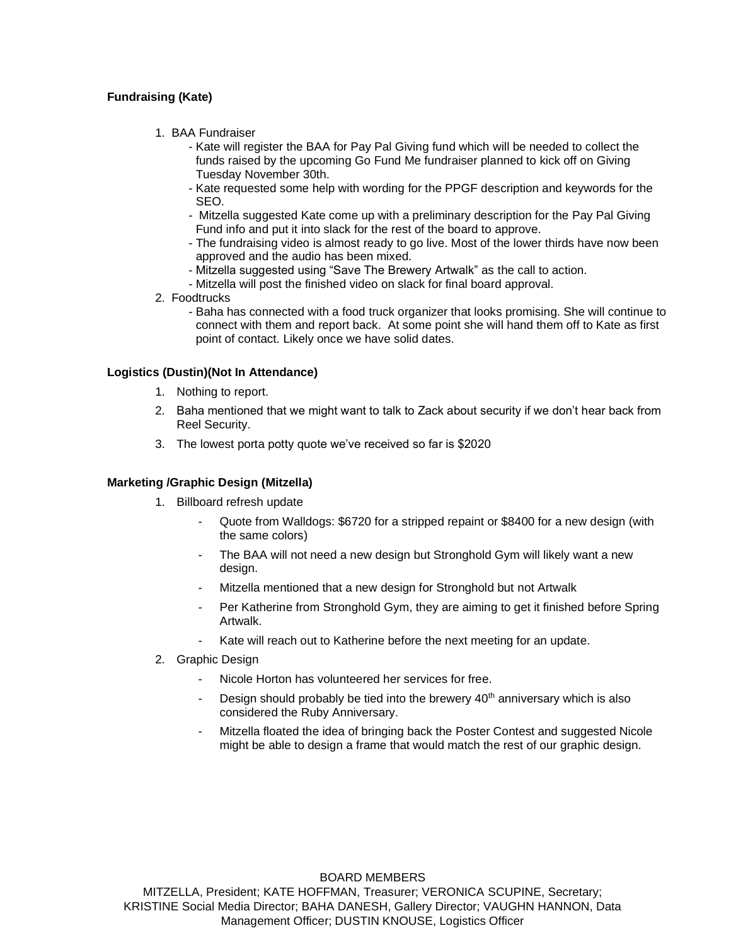# **Fundraising (Kate)**

- 1. BAA Fundraiser
	- Kate will register the BAA for Pay Pal Giving fund which will be needed to collect the funds raised by the upcoming Go Fund Me fundraiser planned to kick off on Giving Tuesday November 30th.
	- Kate requested some help with wording for the PPGF description and keywords for the SEO.
	- Mitzella suggested Kate come up with a preliminary description for the Pay Pal Giving Fund info and put it into slack for the rest of the board to approve.
	- The fundraising video is almost ready to go live. Most of the lower thirds have now been approved and the audio has been mixed.
	- Mitzella suggested using "Save The Brewery Artwalk" as the call to action.
	- Mitzella will post the finished video on slack for final board approval.
- 2. Foodtrucks
	- Baha has connected with a food truck organizer that looks promising. She will continue to connect with them and report back. At some point she will hand them off to Kate as first point of contact. Likely once we have solid dates.

### **Logistics (Dustin)(Not In Attendance)**

- 1. Nothing to report.
- 2. Baha mentioned that we might want to talk to Zack about security if we don't hear back from Reel Security.
- 3. The lowest porta potty quote we've received so far is \$2020

#### **Marketing /Graphic Design (Mitzella)**

- 1. Billboard refresh update
	- Quote from Walldogs: \$6720 for a stripped repaint or \$8400 for a new design (with the same colors)
	- The BAA will not need a new design but Stronghold Gym will likely want a new design.
	- Mitzella mentioned that a new design for Stronghold but not Artwalk
	- Per Katherine from Stronghold Gym, they are aiming to get it finished before Spring Artwalk.
	- Kate will reach out to Katherine before the next meeting for an update.
- 2. Graphic Design
	- Nicole Horton has volunteered her services for free.
	- Design should probably be tied into the brewery  $40<sup>th</sup>$  anniversary which is also considered the Ruby Anniversary.
	- Mitzella floated the idea of bringing back the Poster Contest and suggested Nicole might be able to design a frame that would match the rest of our graphic design.

#### BOARD MEMBERS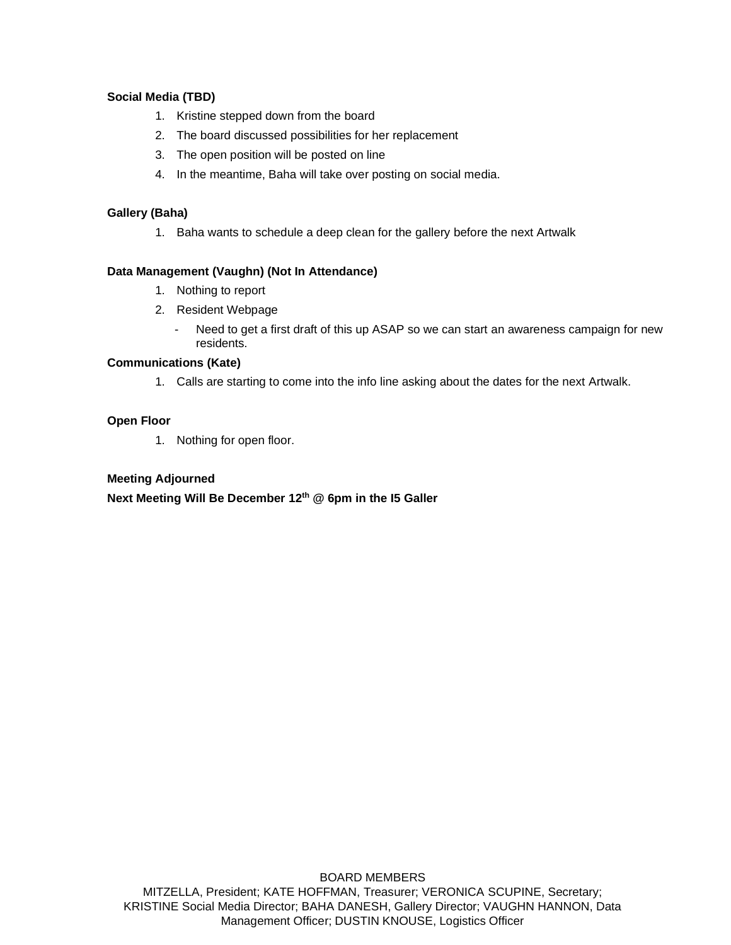# **Social Media (TBD)**

- 1. Kristine stepped down from the board
- 2. The board discussed possibilities for her replacement
- 3. The open position will be posted on line
- 4. In the meantime, Baha will take over posting on social media.

# **Gallery (Baha)**

1. Baha wants to schedule a deep clean for the gallery before the next Artwalk

# **Data Management (Vaughn) (Not In Attendance)**

- 1. Nothing to report
- 2. Resident Webpage
	- Need to get a first draft of this up ASAP so we can start an awareness campaign for new residents.

# **Communications (Kate)**

1. Calls are starting to come into the info line asking about the dates for the next Artwalk.

# **Open Floor**

1. Nothing for open floor.

# **Meeting Adjourned**

**Next Meeting Will Be December 12 th @ 6pm in the I5 Galler**